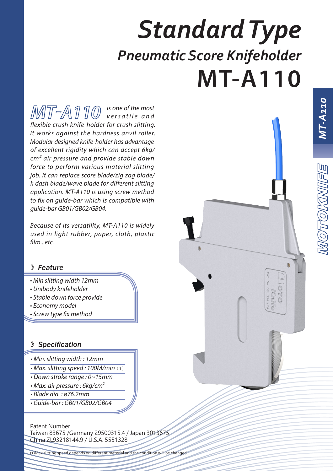# *Standard Type Pneumatic Score Knifeholder* **MT-A110**

*is one of the most v e r s a t i l e a n d flexible crush knife-holder for crush slitting. It works against the hardness anvil roller. Modular designed knife-holder has advantage of excellent rigidity which can accept 6kg/ cm² air pressure and provide stable down force to perform various material slitting job. It can replace score blade/zig zag blade/ k dash blade/wave blade for different slitting application. MT-A110 is using screw method to fix on guide-bar which is compatible with guide-bar GB01/GB02/GB04.* 

*Because of its versatility, MT-A110 is widely used in light rubber, paper, cloth, plastic film...etc.*

#### 》*Feature*

- *Min slitting width 12mm*
- *Unibody knifeholder*
- *Stable down force provide*
- *Economy model*
- *Screw type fix method*

### **》***Specification*

- *Min. slitting width : 12mm*
- *Max. slitting speed : 100M/min*(1)
- *Down stroke range : 0~15mm*
- *Max. air pressure : 6kg/cm2*
- *Blade dia. : ø76.2mm*
- *Guide-bar : GB01/GB02/GB04*

Patent Number Taiwan 83675 /Germany 29500315.4 / Japan 3013675

China ZL93218144.9 / U.S.A. 5551328

(1)Max slitting speed depends on different material and the condition will be changed.



 *MT-A110*

阿冒

MOTTOKKNI

MT-A110